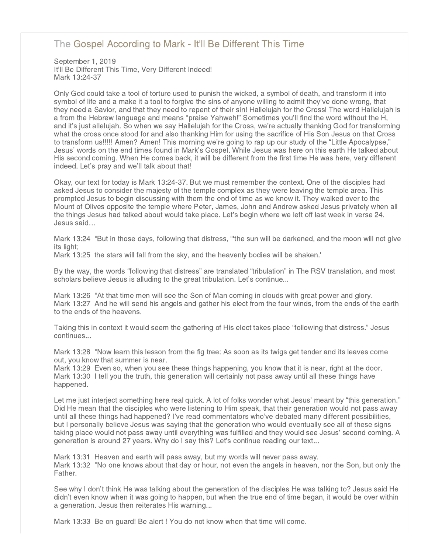## [The Gospel According to Mark - It'll Be Different This Time](http://northshorechurch.net/resources/sermons/sermon-notes/465-the-gospel-according-to-mark-it-ll-be-different-this-time)

September 1, 2019 It'll Be Different This Time, Very Different Indeed! Mark 13:24-37

Only God could take a tool of torture used to punish the wicked, a symbol of death, and transform it into symbol of life and a make it a tool to forgive the sins of anyone willing to admit they've done wrong, that they need a Savior, and that they need to repent of their sin! Hallelujah for the Cross! The word Hallelujah is a from the Hebrew language and means "praise Yahweh!" Sometimes you'll find the word without the H, and it's just allelujah. So when we say Hallelujah for the Cross, we're actually thanking God for transforming what the cross once stood for and also thanking Him for using the sacrifice of His Son Jesus on that Cross to transform us!!!!! Amen? Amen! This morning we're going to rap up our study of the "Little Apocalypse," Jesus' words on the end times found in Mark's Gospel. While Jesus was here on this earth He talked about His second coming. When He comes back, it will be different from the first time He was here, very different indeed. Let's pray and we'll talk about that!

Okay, our text for today is Mark 13:24-37. But we must remember the context. One of the disciples had asked Jesus to consider the majesty of the temple complex as they were leaving the temple area. This prompted Jesus to begin discussing with them the end of time as we know it. They walked over to the Mount of Olives opposite the temple where Peter, James, John and Andrew asked Jesus privately when all the things Jesus had talked about would take place. Let's begin where we left off last week in verse 24. Jesus said…

Mark 13:24 "But in those days, following that distress, "'the sun will be darkened, and the moon will not give its light;

Mark 13:25 the stars will fall from the sky, and the heavenly bodies will be shaken.'

By the way, the words "following that distress" are translated "tribulation" in The RSV translation, and most scholars believe Jesus is alluding to the great tribulation. Let's continue...

Mark 13:26 "At that time men will see the Son of Man coming in clouds with great power and glory. Mark 13:27 And he will send his angels and gather his elect from the four winds, from the ends of the earth to the ends of the heavens.

Taking this in context it would seem the gathering of His elect takes place "following that distress." Jesus continues...

Mark 13:28 "Now learn this lesson from the fig tree: As soon as its twigs get tender and its leaves come out, you know that summer is near.

Mark 13:29 Even so, when you see these things happening, you know that it is near, right at the door. Mark 13:30 I tell you the truth, this generation will certainly not pass away until all these things have happened.

Let me just interject something here real quick. A lot of folks wonder what Jesus' meant by "this generation." Did He mean that the disciples who were listening to Him speak, that their generation would not pass away until all these things had happened? I've read commentators who've debated many different possibilities, but I personally believe Jesus was saying that the generation who would eventually see all of these signs taking place would not pass away until everything was fulfilled and they would see Jesus' second coming. A generation is around 27 years. Why do I say this? Let's continue reading our text...

Mark 13:31 Heaven and earth will pass away, but my words will never pass away. Mark 13:32 "No one knows about that day or hour, not even the angels in heaven, nor the Son, but only the Father.

See why I don't think He was talking about the generation of the disciples He was talking to? Jesus said He didn't even know when it was going to happen, but when the true end of time began, it would be over within a generation. Jesus then reiterates His warning...

Mark 13:33 Be on guard! Be alert ! You do not know when that time will come.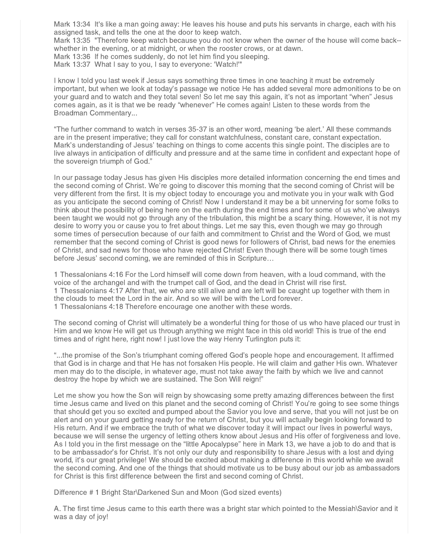Mark 13:34 It's like a man going away: He leaves his house and puts his servants in charge, each with his assigned task, and tells the one at the door to keep watch.

Mark 13:35 "Therefore keep watch because you do not know when the owner of the house will come back- whether in the evening, or at midnight, or when the rooster crows, or at dawn.

Mark 13:36 If he comes suddenly, do not let him find you sleeping.

Mark 13:37 What I say to you, I say to everyone: 'Watch!'"

I know I told you last week if Jesus says something three times in one teaching it must be extremely important, but when we look at today's passage we notice He has added several more admonitions to be on your guard and to watch and they total seven! So let me say this again, it's not as important "when" Jesus comes again, as it is that we be ready "whenever" He comes again! Listen to these words from the Broadman Commentary...

"The further command to watch in verses 35-37 is an other word, meaning 'be alert.' All these commands are in the present imperative; they call for constant watchfulness, constant care, constant expectation. Mark's understanding of Jesus' teaching on things to come accents this single point. The disciples are to live always in anticipation of difficulty and pressure and at the same time in confident and expectant hope of the sovereign triumph of God."

In our passage today Jesus has given His disciples more detailed information concerning the end times and the second coming of Christ. We're going to discover this morning that the second coming of Christ will be very different from the first. It is my object today to encourage you and motivate you in your walk with God as you anticipate the second coming of Christ! Now I understand it may be a bit unnerving for some folks to think about the possibility of being here on the earth during the end times and for some of us who've always been taught we would not go through any of the tribulation, this might be a scary thing. However, it is not my desire to worry you or cause you to fret about things. Let me say this, even though we may go through some times of persecution because of our faith and commitment to Christ and the Word of God, we must remember that the second coming of Christ is good news for followers of Christ, bad news for the enemies of Christ, and sad news for those who have rejected Christ! Even though there will be some tough times before Jesus' second coming, we are reminded of this in Scripture…

1 Thessalonians 4:16 For the Lord himself will come down from heaven, with a loud command, with the voice of the archangel and with the trumpet call of God, and the dead in Christ will rise first. 1 Thessalonians 4:17 After that, we who are still alive and are left will be caught up together with them in the clouds to meet the Lord in the air. And so we will be with the Lord forever. 1 Thessalonians 4:18 Therefore encourage one another with these words.

The second coming of Christ will ultimately be a wonderful thing for those of us who have placed our trust in Him and we know He will get us through anything we might face in this old world! This is true of the end times and of right here, right now! I just love the way Henry Turlington puts it:

"...the promise of the Son's triumphant coming offered God's people hope and encouragement. It affirmed that God is in charge and that He has not forsaken His people. He will claim and gather His own. Whatever men may do to the disciple, in whatever age, must not take away the faith by which we live and cannot destroy the hope by which we are sustained. The Son Will reign!"

Let me show you how the Son will reign by showcasing some pretty amazing differences between the first time Jesus came and lived on this planet and the second coming of Christ! You're going to see some things that should get you so excited and pumped about the Savior you love and serve, that you will not just be on alert and on your guard getting ready for the return of Christ, but you will actually begin looking forward to His return. And if we embrace the truth of what we discover today it will impact our lives in powerful ways, because we will sense the urgency of letting others know about Jesus and His offer of forgiveness and love. As I told you in the first message on the "little Apocalypse" here in Mark 13, we have a job to do and that is to be ambassador's for Christ. It's not only our duty and responsibility to share Jesus with a lost and dying world, it's our great privilege! We should be excited about making a difference in this world while we await the second coming. And one of the things that should motivate us to be busy about our job as ambassadors for Christ is this first difference between the first and second coming of Christ.

Difference # 1 Bright Star\Darkened Sun and Moon (God sized events)

A. The first time Jesus came to this earth there was a bright star which pointed to the Messiah\Savior and it was a day of joy!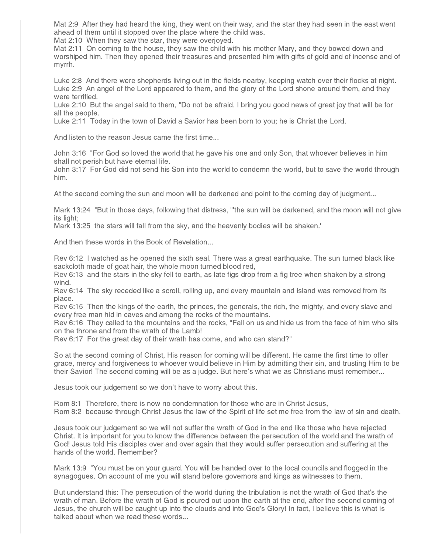Mat 2:9 After they had heard the king, they went on their way, and the star they had seen in the east went ahead of them until it stopped over the place where the child was.

Mat 2:10 When they saw the star, they were overjoyed.

Mat 2:11 On coming to the house, they saw the child with his mother Mary, and they bowed down and worshiped him. Then they opened their treasures and presented him with gifts of gold and of incense and of myrrh.

Luke 2:8 And there were shepherds living out in the fields nearby, keeping watch over their flocks at night. Luke 2:9 An angel of the Lord appeared to them, and the glory of the Lord shone around them, and they were terrified.

Luke 2:10 But the angel said to them, "Do not be afraid. I bring you good news of great joy that will be for all the people.

Luke 2:11 Today in the town of David a Savior has been born to you; he is Christ the Lord.

And listen to the reason Jesus came the first time...

John 3:16 "For God so loved the world that he gave his one and only Son, that whoever believes in him shall not perish but have eternal life.

John 3:17 For God did not send his Son into the world to condemn the world, but to save the world through him.

At the second coming the sun and moon will be darkened and point to the coming day of judgment...

Mark 13:24 "But in those days, following that distress, "'the sun will be darkened, and the moon will not give its light;

Mark 13:25 the stars will fall from the sky, and the heavenly bodies will be shaken.'

And then these words in the Book of Revelation...

Rev 6:12 I watched as he opened the sixth seal. There was a great earthquake. The sun turned black like sackcloth made of goat hair, the whole moon turned blood red,

Rev 6:13 and the stars in the sky fell to earth, as late figs drop from a fig tree when shaken by a strong wind.

Rev 6:14 The sky receded like a scroll, rolling up, and every mountain and island was removed from its place.

Rev 6:15 Then the kings of the earth, the princes, the generals, the rich, the mighty, and every slave and every free man hid in caves and among the rocks of the mountains.

Rev 6:16 They called to the mountains and the rocks, "Fall on us and hide us from the face of him who sits on the throne and from the wrath of the Lamb!

Rev 6:17 For the great day of their wrath has come, and who can stand?"

So at the second coming of Christ, His reason for coming will be different. He came the first time to offer grace, mercy and forgiveness to whoever would believe in Him by admitting their sin, and trusting Him to be their Savior! The second coming will be as a judge. But here's what we as Christians must remember...

Jesus took our judgement so we don't have to worry about this.

Rom 8:1 Therefore, there is now no condemnation for those who are in Christ Jesus,

Rom 8:2 because through Christ Jesus the law of the Spirit of life set me free from the law of sin and death.

Jesus took our judgement so we will not suffer the wrath of God in the end like those who have rejected Christ. It is important for you to know the difference between the persecution of the world and the wrath of God! Jesus told His disciples over and over again that they would suffer persecution and suffering at the hands of the world. Remember?

Mark 13:9 "You must be on your guard. You will be handed over to the local councils and flogged in the synagogues. On account of me you will stand before governors and kings as witnesses to them.

But understand this: The persecution of the world during the tribulation is not the wrath of God that's the wrath of man. Before the wrath of God is poured out upon the earth at the end, after the second coming of Jesus, the church will be caught up into the clouds and into God's Glory! In fact, I believe this is what is talked about when we read these words...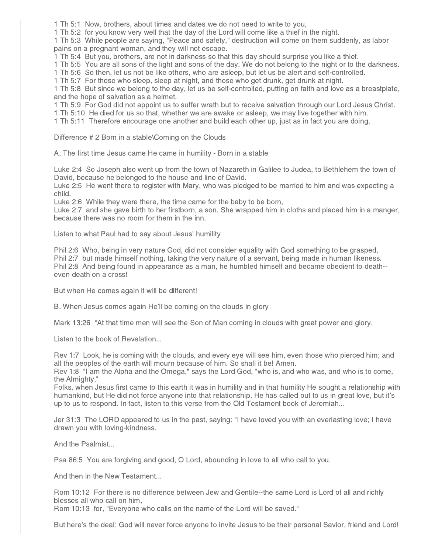1 Th 5:1 Now, brothers, about times and dates we do not need to write to you,

1 Th 5:2 for you know very well that the day of the Lord will come like a thief in the night.

1 Th 5:3 While people are saying, "Peace and safety," destruction will come on them suddenly, as labor pains on a pregnant woman, and they will not escape.

1 Th 5:4 But you, brothers, are not in darkness so that this day should surprise you like a thief.

1 Th 5:5 You are all sons of the light and sons of the day. We do not belong to the night or to the darkness.

1 Th 5:6 So then, let us not be like others, who are asleep, but let us be alert and self-controlled.

1 Th 5:7 For those who sleep, sleep at night, and those who get drunk, get drunk at night.

1 Th 5:8 But since we belong to the day, let us be self-controlled, putting on faith and love as a breastplate, and the hope of salvation as a helmet.

1 Th 5:9 For God did not appoint us to suffer wrath but to receive salvation through our Lord Jesus Christ.

1 Th 5:10 He died for us so that, whether we are awake or asleep, we may live together with him.

1 Th 5:11 Therefore encourage one another and build each other up, just as in fact you are doing.

Difference # 2 Born in a stable\Coming on the Clouds

A. The first time Jesus came He came in humility - Born in a stable

Luke 2:4 So Joseph also went up from the town of Nazareth in Galilee to Judea, to Bethlehem the town of David, because he belonged to the house and line of David.

Luke 2:5 He went there to register with Mary, who was pledged to be married to him and was expecting a child.

Luke 2:6 While they were there, the time came for the baby to be born,

Luke 2:7 and she gave birth to her firstborn, a son. She wrapped him in cloths and placed him in a manger, because there was no room for them in the inn.

Listen to what Paul had to say about Jesus' humility

Phil 2:6 Who, being in very nature God, did not consider equality with God something to be grasped, Phil 2:7 but made himself nothing, taking the very nature of a servant, being made in human likeness. Phil 2:8 And being found in appearance as a man, he humbled himself and became obedient to death- even death on a cross!

But when He comes again it will be different!

B. When Jesus comes again He'll be coming on the clouds in glory

Mark 13:26 "At that time men will see the Son of Man coming in clouds with great power and glory.

Listen to the book of Revelation...

Rev 1:7 Look, he is coming with the clouds, and every eye will see him, even those who pierced him; and all the peoples of the earth will mourn because of him. So shall it be! Amen.

Rev 1:8 "I am the Alpha and the Omega," says the Lord God, "who is, and who was, and who is to come, the Almighty."

Folks, when Jesus first came to this earth it was in humility and in that humility He sought a relationship with humankind, but He did not force anyone into that relationship. He has called out to us in great love, but it's up to us to respond. In fact, listen to this verse from the Old Testament book of Jeremiah...

Jer 31:3 The LORD appeared to us in the past, saying: "I have loved you with an everlasting love; I have drawn you with loving-kindness.

And the Psalmist...

Psa 86:5 You are forgiving and good, O Lord, abounding in love to all who call to you.

And then in the New Testament...

Rom 10:12 For there is no difference between Jew and Gentile--the same Lord is Lord of all and richly blesses all who call on him,

Rom 10:13 for, "Everyone who calls on the name of the Lord will be saved."

But here's the deal: God will never force anyone to invite Jesus to be their personal Savior, friend and Lord!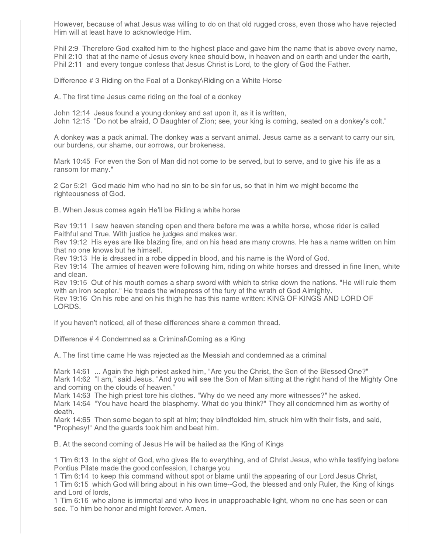However, because of what Jesus was willing to do on that old rugged cross, even those who have rejected Him will at least have to acknowledge Him.

Phil 2:9 Therefore God exalted him to the highest place and gave him the name that is above every name, Phil 2:10 that at the name of Jesus every knee should bow, in heaven and on earth and under the earth, Phil 2:11 and every tongue confess that Jesus Christ is Lord, to the glory of God the Father.

Difference # 3 Riding on the Foal of a Donkey\Riding on a White Horse

A. The first time Jesus came riding on the foal of a donkey

John 12:14 Jesus found a young donkey and sat upon it, as it is written, John 12:15 "Do not be afraid, O Daughter of Zion; see, your king is coming, seated on a donkey's colt."

A donkey was a pack animal. The donkey was a servant animal. Jesus came as a servant to carry our sin, our burdens, our shame, our sorrows, our brokeness.

Mark 10:45 For even the Son of Man did not come to be served, but to serve, and to give his life as a ransom for many."

2 Cor 5:21 God made him who had no sin to be sin for us, so that in him we might become the righteousness of God.

B. When Jesus comes again He'll be Riding a white horse

Rev 19:11 I saw heaven standing open and there before me was a white horse, whose rider is called Faithful and True. With justice he judges and makes war.

Rev 19:12 His eyes are like blazing fire, and on his head are many crowns. He has a name written on him that no one knows but he himself.

Rev 19:13 He is dressed in a robe dipped in blood, and his name is the Word of God.

Rev 19:14 The armies of heaven were following him, riding on white horses and dressed in fine linen, white and clean.

Rev 19:15 Out of his mouth comes a sharp sword with which to strike down the nations. "He will rule them with an iron scepter." He treads the winepress of the fury of the wrath of God Almighty.

Rev 19:16 On his robe and on his thigh he has this name written: KING OF KINGS AND LORD OF LORDS.

If you haven't noticed, all of these differences share a common thread.

Difference # 4 Condemned as a Criminal\Coming as a King

A. The first time came He was rejected as the Messiah and condemned as a criminal

Mark 14:61 ... Again the high priest asked him, "Are you the Christ, the Son of the Blessed One?" Mark 14:62 "I am," said Jesus. "And you will see the Son of Man sitting at the right hand of the Mighty One and coming on the clouds of heaven."

Mark 14:63 The high priest tore his clothes. "Why do we need any more witnesses?" he asked.

Mark 14:64 "You have heard the blasphemy. What do you think?" They all condemned him as worthy of death.

Mark 14:65 Then some began to spit at him; they blindfolded him, struck him with their fists, and said, "Prophesy!" And the guards took him and beat him.

B. At the second coming of Jesus He will be hailed as the King of Kings

1 Tim 6:13 In the sight of God, who gives life to everything, and of Christ Jesus, who while testifying before Pontius Pilate made the good confession, I charge you

1 Tim 6:14 to keep this command without spot or blame until the appearing of our Lord Jesus Christ,

1 Tim 6:15 which God will bring about in his own time--God, the blessed and only Ruler, the King of kings and Lord of lords,

1 Tim 6:16 who alone is immortal and who lives in unapproachable light, whom no one has seen or can see. To him be honor and might forever. Amen.